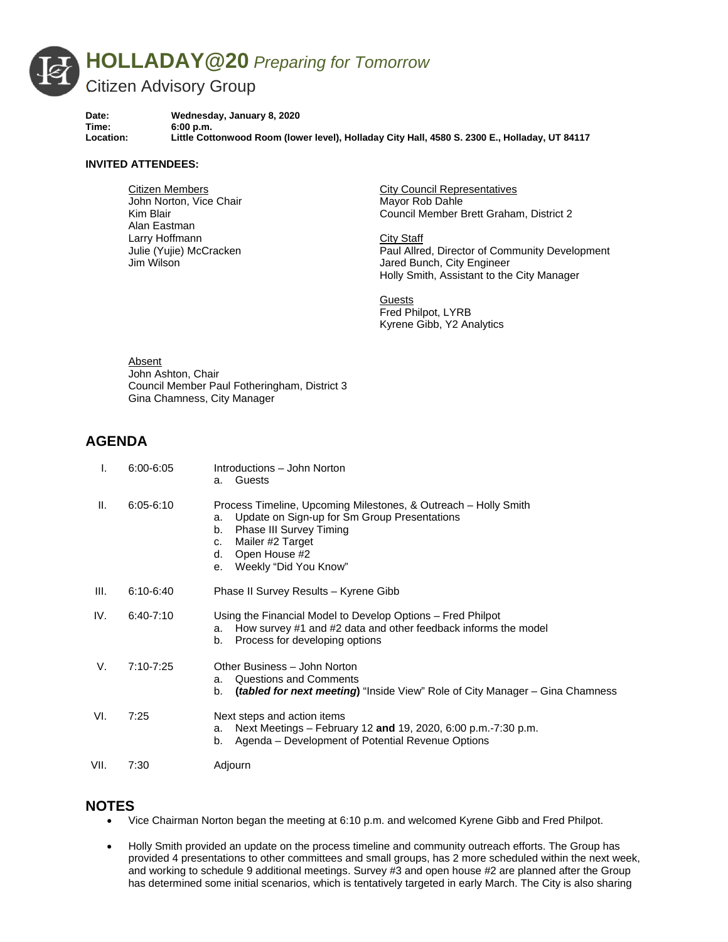

**Date: Wednesday, January 8, 2020 Time: 6:00 p.m. Location: Little Cottonwood Room (lower level), Holladay City Hall, 4580 S. 2300 E., Holladay, UT 84117** 

## **INVITED ATTENDEES:**

Citizen Members John Norton, Vice Chair Kim Blair Alan Eastman Larry Hoffmann Julie (Yujie) McCracken Jim Wilson

City Council Representatives Mayor Rob Dahle Council Member Brett Graham, District 2

City Staff Paul Allred, Director of Community Development Jared Bunch, City Engineer Holly Smith, Assistant to the City Manager

**Guests** Fred Philpot, LYRB Kyrene Gibb, Y2 Analytics

Absent John Ashton, Chair Council Member Paul Fotheringham, District 3 Gina Chamness, City Manager

## **AGENDA**

| I.   | $6:00 - 6:05$ | Introductions - John Norton<br>Guests<br>а.                                                                                                                                                                                            |
|------|---------------|----------------------------------------------------------------------------------------------------------------------------------------------------------------------------------------------------------------------------------------|
| Ш.   | $6:05 - 6:10$ | Process Timeline, Upcoming Milestones, & Outreach – Holly Smith<br>Update on Sign-up for Sm Group Presentations<br>a.<br>Phase III Survey Timing<br>b.<br>Mailer #2 Target<br>C.<br>Open House #2<br>d.<br>Weekly "Did You Know"<br>е. |
| III. | $6:10-6:40$   | Phase II Survey Results - Kyrene Gibb                                                                                                                                                                                                  |
| IV.  | $6:40 - 7:10$ | Using the Financial Model to Develop Options - Fred Philpot<br>How survey #1 and #2 data and other feedback informs the model<br>a.<br>Process for developing options<br>b.                                                            |
| V.   | 7:10-7:25     | Other Business - John Norton<br>Questions and Comments<br>a.<br>(tabled for next meeting) "Inside View" Role of City Manager - Gina Chamness<br>b.                                                                                     |
| VI.  | 7:25          | Next steps and action items<br>Next Meetings – February 12 and 19, 2020, 6:00 p.m.-7:30 p.m.<br>a.<br>Agenda – Development of Potential Revenue Options<br>b.                                                                          |
| VII. | 7:30          | Adjourn                                                                                                                                                                                                                                |

## **NOTES**

- Vice Chairman Norton began the meeting at 6:10 p.m. and welcomed Kyrene Gibb and Fred Philpot.
- Holly Smith provided an update on the process timeline and community outreach efforts. The Group has provided 4 presentations to other committees and small groups, has 2 more scheduled within the next week, and working to schedule 9 additional meetings. Survey #3 and open house #2 are planned after the Group has determined some initial scenarios, which is tentatively targeted in early March. The City is also sharing